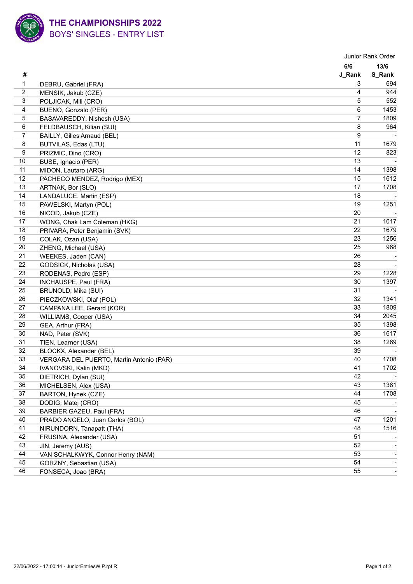

|                |                                          |                | Junior Rank Order |  |
|----------------|------------------------------------------|----------------|-------------------|--|
|                |                                          | 6/6            | 13/6              |  |
| #              |                                          | J_Rank         | <b>S_Rank</b>     |  |
| 1              | DEBRU, Gabriel (FRA)                     | 3              | 694               |  |
| $\overline{c}$ | MENSIK, Jakub (CZE)                      | 4              | 944               |  |
| 3              | POLJICAK, Mili (CRO)                     | 5              | 552               |  |
| 4              | BUENO, Gonzalo (PER)                     | 6              | 1453              |  |
| 5              | BASAVAREDDY, Nishesh (USA)               | $\overline{7}$ | 1809              |  |
| 6              | FELDBAUSCH, Kilian (SUI)                 | 8              | 964               |  |
| $\overline{7}$ | BAILLY, Gilles Arnaud (BEL)              | 9              |                   |  |
| 8              | BUTVILAS, Edas (LTU)                     | 11             | 1679              |  |
| 9              | PRIZMIC, Dino (CRO)                      | 12             | 823               |  |
| $10$           | BUSE, Ignacio (PER)                      | 13             |                   |  |
| 11             | MIDON, Lautaro (ARG)                     | 14             | 1398              |  |
| 12             | PACHECO MENDEZ, Rodrigo (MEX)            | 15             | 1612              |  |
| 13             | ARTNAK, Bor (SLO)                        | 17             | 1708              |  |
| 14             | LANDALUCE, Martin (ESP)                  | 18             |                   |  |
| 15             | PAWELSKI, Martyn (POL)                   | 19             | 1251              |  |
| 16             | NICOD, Jakub (CZE)                       | 20             |                   |  |
| 17             | WONG, Chak Lam Coleman (HKG)             | 21             | 1017              |  |
| 18             | PRIVARA, Peter Benjamin (SVK)            | 22             | 1679              |  |
| 19             | COLAK, Ozan (USA)                        | 23             | 1256              |  |
| 20             | ZHENG, Michael (USA)                     | 25             | 968               |  |
| 21             | WEEKES, Jaden (CAN)                      | 26             |                   |  |
| 22             | GODSICK, Nicholas (USA)                  | 28             |                   |  |
| 23             | RODENAS, Pedro (ESP)                     | 29             | 1228              |  |
| 24             | INCHAUSPE, Paul (FRA)                    | 30             | 1397              |  |
| 25             | BRUNOLD, Mika (SUI)                      | 31             |                   |  |
| 26             | PIECZKOWSKI, Olaf (POL)                  | 32             | 1341              |  |
| 27             | CAMPANA LEE, Gerard (KOR)                | 33             | 1809              |  |
| 28             | WILLIAMS, Cooper (USA)                   | 34             | 2045              |  |
| 29             | GEA, Arthur (FRA)                        | 35             | 1398              |  |
| 30             | NAD, Peter (SVK)                         | 36             | 1617              |  |
| 31             | TIEN, Learner (USA)                      | 38             | 1269              |  |
| 32             | BLOCKX, Alexander (BEL)                  | 39             |                   |  |
| 33             | VERGARA DEL PUERTO, Martin Antonio (PAR) | 40             | 1708              |  |
| 34             | IVANOVSKI, Kalin (MKD)                   | 41             | 1702              |  |
| 35             | DIETRICH, Dylan (SUI)                    | 42             |                   |  |
| 36             | MICHELSEN, Alex (USA)                    | 43             | 1381              |  |
| 37             | BARTON, Hynek (CZE)                      | 44             | 1708              |  |
| 38             | DODIG, Matej (CRO)                       | 45             |                   |  |
| 39             | BARBIER GAZEU, Paul (FRA)                | 46             |                   |  |
| 40             | PRADO ANGELO, Juan Carlos (BOL)          | 47             | 1201              |  |
| 41             | NIRUNDORN, Tanapatt (THA)                | 48             | 1516              |  |
| 42             | FRUSINA, Alexander (USA)                 | 51             |                   |  |
| 43             | JIN, Jeremy (AUS)                        | 52             |                   |  |
| 44             | VAN SCHALKWYK, Connor Henry (NAM)        | 53             |                   |  |
| 45             | GORZNY, Sebastian (USA)                  | 54             |                   |  |
| 46             | FONSECA, Joao (BRA)                      | 55             |                   |  |